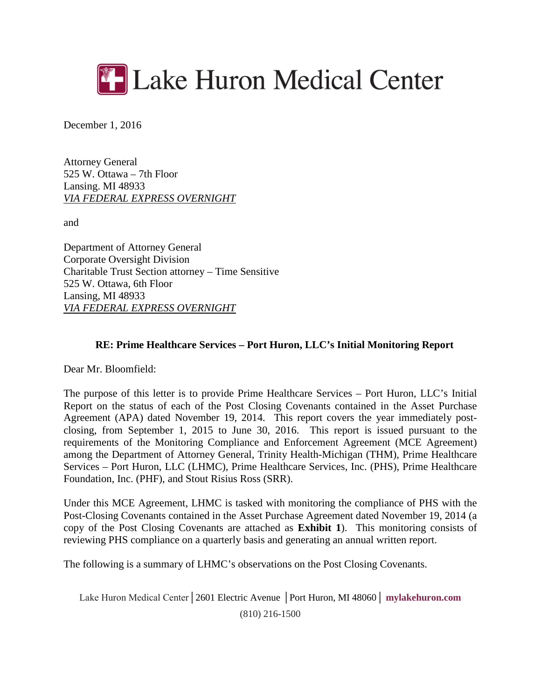

December 1, 2016

Attorney General 525 W. Ottawa – 7th Floor Lansing. MI 48933 *VIA FEDERAL EXPRESS OVERNIGHT*

and

Department of Attorney General Corporate Oversight Division Charitable Trust Section attorney – Time Sensitive 525 W. Ottawa, 6th Floor Lansing, MI 48933 *VIA FEDERAL EXPRESS OVERNIGHT*

#### **RE: Prime Healthcare Services – Port Huron, LLC's Initial Monitoring Report**

Dear Mr. Bloomfield:

The purpose of this letter is to provide Prime Healthcare Services – Port Huron, LLC's Initial Report on the status of each of the Post Closing Covenants contained in the Asset Purchase Agreement (APA) dated November 19, 2014. This report covers the year immediately postclosing, from September 1, 2015 to June 30, 2016. This report is issued pursuant to the requirements of the Monitoring Compliance and Enforcement Agreement (MCE Agreement) among the Department of Attorney General, Trinity Health-Michigan (THM), Prime Healthcare Services – Port Huron, LLC (LHMC), Prime Healthcare Services, Inc. (PHS), Prime Healthcare Foundation, Inc. (PHF), and Stout Risius Ross (SRR).

Under this MCE Agreement, LHMC is tasked with monitoring the compliance of PHS with the Post-Closing Covenants contained in the Asset Purchase Agreement dated November 19, 2014 (a copy of the Post Closing Covenants are attached as **Exhibit 1**). This monitoring consists of reviewing PHS compliance on a quarterly basis and generating an annual written report.

The following is a summary of LHMC's observations on the Post Closing Covenants.

Lake Huron Medical Center│2601 Electric Avenue │Port Huron, MI 48060│ **mylakehuron.com** (810) 216-1500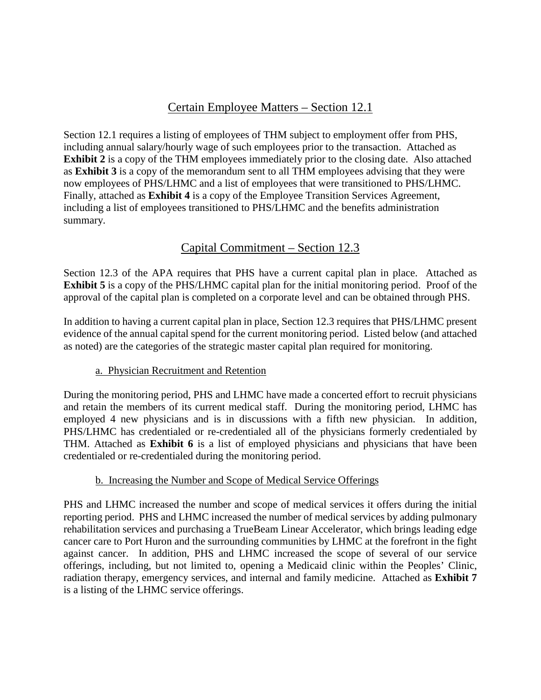## Certain Employee Matters – Section 12.1

Section 12.1 requires a listing of employees of THM subject to employment offer from PHS, including annual salary/hourly wage of such employees prior to the transaction. Attached as **Exhibit 2** is a copy of the THM employees immediately prior to the closing date. Also attached as **Exhibit 3** is a copy of the memorandum sent to all THM employees advising that they were now employees of PHS/LHMC and a list of employees that were transitioned to PHS/LHMC. Finally, attached as **Exhibit 4** is a copy of the Employee Transition Services Agreement, including a list of employees transitioned to PHS/LHMC and the benefits administration summary.

# Capital Commitment – Section 12.3

Section 12.3 of the APA requires that PHS have a current capital plan in place. Attached as **Exhibit 5** is a copy of the PHS/LHMC capital plan for the initial monitoring period. Proof of the approval of the capital plan is completed on a corporate level and can be obtained through PHS.

In addition to having a current capital plan in place, Section 12.3 requires that PHS/LHMC present evidence of the annual capital spend for the current monitoring period. Listed below (and attached as noted) are the categories of the strategic master capital plan required for monitoring.

#### a. Physician Recruitment and Retention

During the monitoring period, PHS and LHMC have made a concerted effort to recruit physicians and retain the members of its current medical staff. During the monitoring period, LHMC has employed 4 new physicians and is in discussions with a fifth new physician. In addition, PHS/LHMC has credentialed or re-credentialed all of the physicians formerly credentialed by THM. Attached as **Exhibit 6** is a list of employed physicians and physicians that have been credentialed or re-credentialed during the monitoring period.

#### b. Increasing the Number and Scope of Medical Service Offerings

PHS and LHMC increased the number and scope of medical services it offers during the initial reporting period. PHS and LHMC increased the number of medical services by adding pulmonary rehabilitation services and purchasing a TrueBeam Linear Accelerator, which brings leading edge cancer care to Port Huron and the surrounding communities by LHMC at the forefront in the fight against cancer. In addition, PHS and LHMC increased the scope of several of our service offerings, including, but not limited to, opening a Medicaid clinic within the Peoples' Clinic, radiation therapy, emergency services, and internal and family medicine. Attached as **Exhibit 7** is a listing of the LHMC service offerings.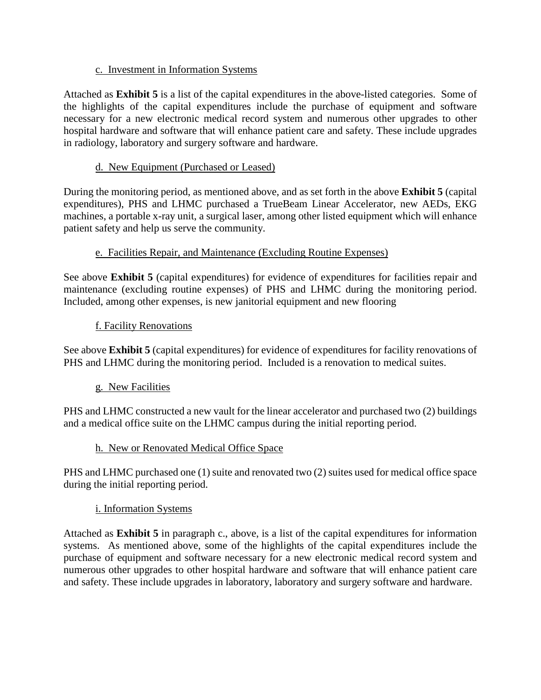#### c. Investment in Information Systems

Attached as **Exhibit 5** is a list of the capital expenditures in the above-listed categories. Some of the highlights of the capital expenditures include the purchase of equipment and software necessary for a new electronic medical record system and numerous other upgrades to other hospital hardware and software that will enhance patient care and safety. These include upgrades in radiology, laboratory and surgery software and hardware.

#### d. New Equipment (Purchased or Leased)

During the monitoring period, as mentioned above, and as set forth in the above **Exhibit 5** (capital expenditures), PHS and LHMC purchased a TrueBeam Linear Accelerator, new AEDs, EKG machines, a portable x-ray unit, a surgical laser, among other listed equipment which will enhance patient safety and help us serve the community.

### e. Facilities Repair, and Maintenance (Excluding Routine Expenses)

See above **Exhibit 5** (capital expenditures) for evidence of expenditures for facilities repair and maintenance (excluding routine expenses) of PHS and LHMC during the monitoring period. Included, among other expenses, is new janitorial equipment and new flooring

#### f. Facility Renovations

See above **Exhibit 5** (capital expenditures) for evidence of expenditures for facility renovations of PHS and LHMC during the monitoring period. Included is a renovation to medical suites.

#### g. New Facilities

PHS and LHMC constructed a new vault for the linear accelerator and purchased two (2) buildings and a medical office suite on the LHMC campus during the initial reporting period.

#### h. New or Renovated Medical Office Space

PHS and LHMC purchased one (1) suite and renovated two (2) suites used for medical office space during the initial reporting period.

## i. Information Systems

Attached as **Exhibit 5** in paragraph c., above, is a list of the capital expenditures for information systems. As mentioned above, some of the highlights of the capital expenditures include the purchase of equipment and software necessary for a new electronic medical record system and numerous other upgrades to other hospital hardware and software that will enhance patient care and safety. These include upgrades in laboratory, laboratory and surgery software and hardware.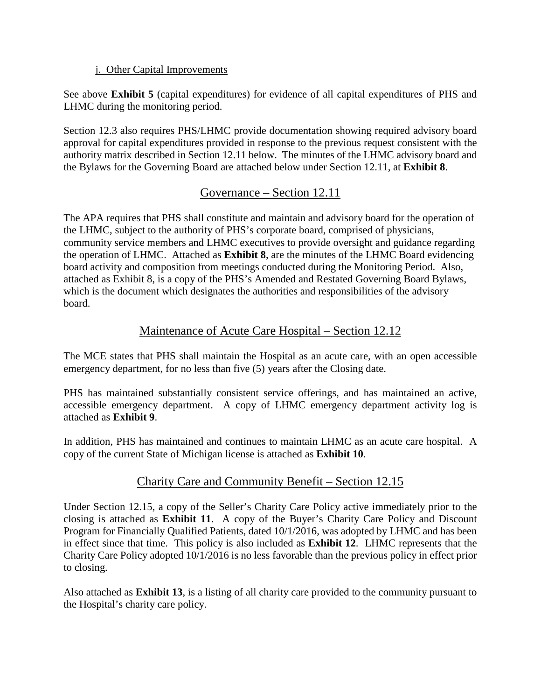#### j. Other Capital Improvements

See above **Exhibit 5** (capital expenditures) for evidence of all capital expenditures of PHS and LHMC during the monitoring period.

Section 12.3 also requires PHS/LHMC provide documentation showing required advisory board approval for capital expenditures provided in response to the previous request consistent with the authority matrix described in Section 12.11 below. The minutes of the LHMC advisory board and the Bylaws for the Governing Board are attached below under Section 12.11, at **Exhibit 8**.

# Governance – Section 12.11

The APA requires that PHS shall constitute and maintain and advisory board for the operation of the LHMC, subject to the authority of PHS's corporate board, comprised of physicians, community service members and LHMC executives to provide oversight and guidance regarding the operation of LHMC. Attached as **Exhibit 8**, are the minutes of the LHMC Board evidencing board activity and composition from meetings conducted during the Monitoring Period. Also, attached as Exhibit 8, is a copy of the PHS's Amended and Restated Governing Board Bylaws, which is the document which designates the authorities and responsibilities of the advisory board.

# Maintenance of Acute Care Hospital – Section 12.12

The MCE states that PHS shall maintain the Hospital as an acute care, with an open accessible emergency department, for no less than five (5) years after the Closing date.

PHS has maintained substantially consistent service offerings, and has maintained an active, accessible emergency department. A copy of LHMC emergency department activity log is attached as **Exhibit 9**.

In addition, PHS has maintained and continues to maintain LHMC as an acute care hospital. A copy of the current State of Michigan license is attached as **Exhibit 10**.

# Charity Care and Community Benefit – Section 12.15

Under Section 12.15, a copy of the Seller's Charity Care Policy active immediately prior to the closing is attached as **Exhibit 11**. A copy of the Buyer's Charity Care Policy and Discount Program for Financially Qualified Patients, dated 10/1/2016, was adopted by LHMC and has been in effect since that time. This policy is also included as **Exhibit 12**. LHMC represents that the Charity Care Policy adopted 10/1/2016 is no less favorable than the previous policy in effect prior to closing.

Also attached as **Exhibit 13**, is a listing of all charity care provided to the community pursuant to the Hospital's charity care policy.